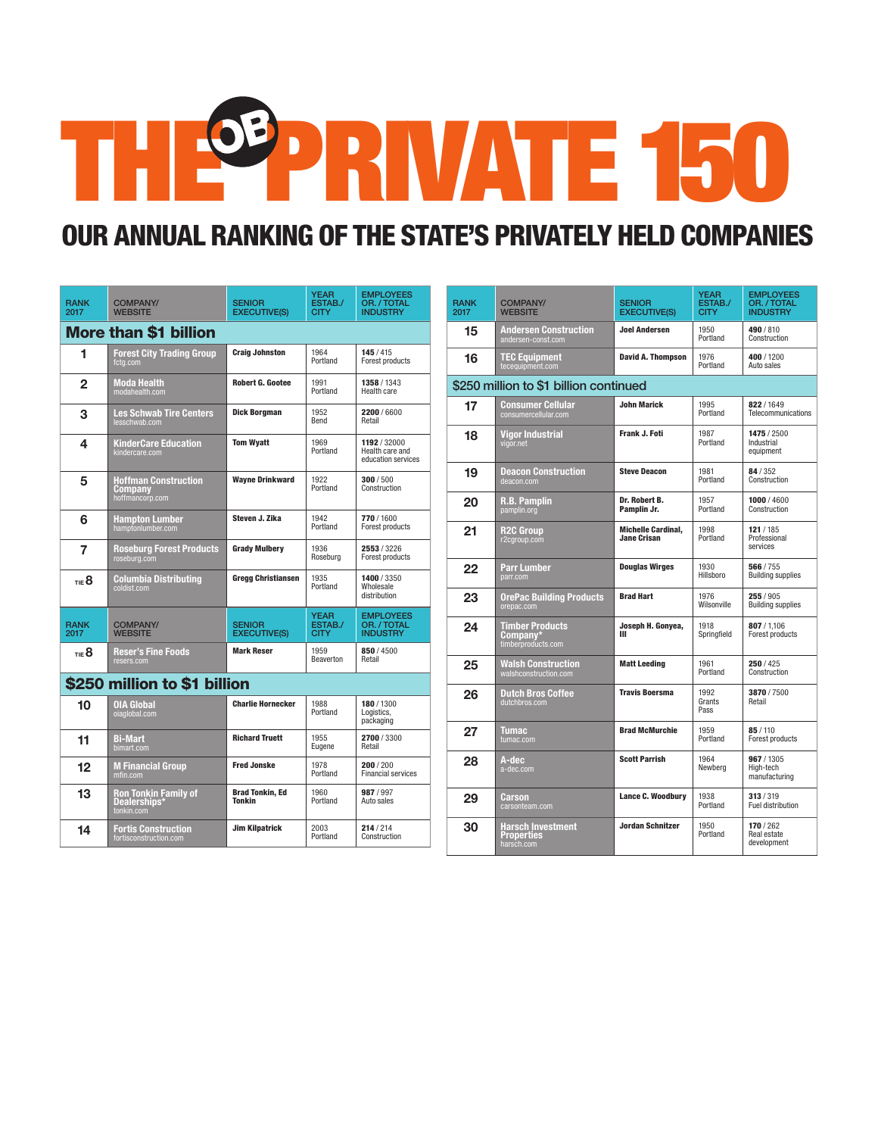## THE PRIVATE 150

## OUR ANNUAL RANKING OF THE STATE'S PRIVATELY HELD COMPANIES

| <b>RANK</b><br>2017          | <b>COMPANY/</b><br><b>WEBSITE</b>                         | <b>SENIOR</b><br><b>EXECUTIVE(S)</b> | <b>YEAR</b><br>ESTAB./<br><b>CITY</b> | <b>EMPLOYEES</b><br>OR. / TOTAL<br><b>INDUSTRY</b>    |  |
|------------------------------|-----------------------------------------------------------|--------------------------------------|---------------------------------------|-------------------------------------------------------|--|
| <b>More than \$1 billion</b> |                                                           |                                      |                                       |                                                       |  |
| 1                            | <b>Forest City Trading Group</b><br>fctg.com              | <b>Craig Johnston</b>                | 1964<br>Portland                      | 145/415<br>Forest products                            |  |
| $\overline{2}$               | <b>Moda Health</b><br>modahealth.com                      | Robert G. Gootee                     | 1991<br>Portland                      | 1358 / 1343<br>Health care                            |  |
| 3                            | <b>Les Schwab Tire Centers</b><br>lesschwab.com           | Dick Borgman                         | 1952<br>Bend                          | 2200/6600<br>Retail                                   |  |
| 4                            | KinderCare Education<br>kindercare.com                    | <b>Tom Wyatt</b>                     | 1969<br>Portland                      | 1192 / 32000<br>Health care and<br>education services |  |
| 5                            | <b>Hoffman Construction</b><br>Company<br>hoffmancorp.com | <b>Wavne Drinkward</b>               | 1922<br>Portland                      | 300/500<br>Construction                               |  |
| 6                            | <b>Hampton Lumber</b><br>hamptonlumber.com                | Steven J. Zika                       | 1942<br>Portland                      | 770/1600<br>Forest products                           |  |
| 7                            | <b>Roseburg Forest Products</b><br>roseburg.com           | <b>Grady Mulbery</b>                 | 1936<br>Roseburg                      | 2553/3226<br>Forest products                          |  |
| TIE <sup>8</sup>             | Columbia Distributing<br>coldist.com                      | <b>Gregg Christiansen</b>            | 1935<br>Portland                      | 1400 / 3350<br>Wholesale<br>distribution              |  |
| <b>RANK</b><br>2017          | <b>COMPANY/</b><br><b>WEBSITE</b>                         | <b>SENIOR</b><br><b>EXECUTIVE(S)</b> | <b>YEAR</b><br>ESTAB./<br><b>CITY</b> | <b>EMPLOYEES</b><br>OR. / TOTAL<br><b>INDUSTRY</b>    |  |
| TIE <sup>8</sup>             | <b>Reser's Fine Foods</b><br>resers.com                   | <b>Mark Reser</b>                    | 1959<br>Beaverton                     | 850/4500<br>Retail                                    |  |
| \$250 million to \$1 billion |                                                           |                                      |                                       |                                                       |  |
| 10                           | OIA Global<br>oiaglobal.com                               | <b>Charlie Hornecker</b>             | 1988<br>Portland                      | 180/1300<br>Logistics,<br>packaging                   |  |
| 11                           | Bi-Mart<br>bimart.com                                     | <b>Richard Truett</b>                | 1955<br>Eugene                        | 2700/3300<br>Retail                                   |  |
| 12                           | <b>M Financial Group</b><br>mfin.com                      | <b>Fred Jonske</b>                   | 1978<br>Portland                      | 200/200<br><b>Financial services</b>                  |  |
| 13                           | Ron Tonkin Family of<br>Dealerships*<br>tonkin.com        | <b>Brad Tonkin, Ed</b><br>Tonkin     | 1960<br>Portland                      | 987/997<br>Auto sales                                 |  |
| 14                           | <b>Fortis Construction</b><br>fortisconstruction.com      | <b>Jim Kilpatrick</b>                | 2003<br>Portland                      | 214/214<br>Construction                               |  |

| <b>RANK</b><br>2017 | <b>COMPANY/</b><br><b>WEBSITE</b>                        | <b>SENIOR</b><br><b>EXECUTIVE(S)</b>            | YEAR<br>ESTAB./<br><b>CITY</b> | <b>EMPLOYEES</b><br>OR. / TOTAL<br><b>INDUSTRY</b> |
|---------------------|----------------------------------------------------------|-------------------------------------------------|--------------------------------|----------------------------------------------------|
| 15                  | Andersen Construction<br>andersen-const.com              | <b>Joel Andersen</b>                            | 1950<br>Portland               | 490/810<br>Construction                            |
| 16                  | <b>TEC Equipment</b><br>tecequipment.com                 | <b>David A. Thompson</b>                        | 1976<br>Portland               | 400/1200<br>Auto sales                             |
|                     | \$250 million to \$1 billion continued                   |                                                 |                                |                                                    |
| 17                  | <b>Consumer Cellular</b><br>consumercellular.com         | <b>John Marick</b>                              | 1995<br>Portland               | 822/1649<br>Telecommunications                     |
| 18                  | <b>Vigor Industrial</b><br>vigor.net                     | Frank J. Foti                                   | 1987<br>Portland               | 1475 / 2500<br>Industrial<br>equipment             |
| 19                  | <b>Deacon Construction</b><br>deacon.com                 | <b>Steve Deacon</b>                             | 1981<br>Portland               | 84/352<br>Construction                             |
| 20                  | <b>R.B. Pamplin</b><br>pamplin.org                       | Dr. Robert B.<br>Pamplin Jr.                    | 1957<br>Portland               | 1000 / 4600<br>Construction                        |
| 21                  | R2C Group<br>r2cgroup.com                                | <b>Michelle Cardinal.</b><br><b>Jane Crisan</b> | 1998<br>Portland               | 121 / 185<br>Professional<br>services              |
| 22                  | <b>Parr Lumber</b><br>parr.com                           | <b>Douglas Wirges</b>                           | 1930<br>Hillsboro              | 566/755<br><b>Building supplies</b>                |
| 23                  | <b>OrePac Building Products</b><br>orepac.com            | <b>Brad Hart</b>                                | 1976<br>Wilsonville            | 255 / 905<br><b>Building supplies</b>              |
| 24                  | <b>Timber Products</b><br>Company*<br>timberproducts.com | Joseph H. Gonyea,<br>ш                          | 1918<br>Springfield            | 807/1.106<br>Forest products                       |
| 25                  | <b>Walsh Construction</b><br>walshconstruction.com       | <b>Matt Leeding</b>                             | 1961<br>Portland               | 250/425<br>Construction                            |
| 26                  | <b>Dutch Bros Coffee</b><br>dutchbros.com                | <b>Travis Boersma</b>                           | 1992<br>Grants<br>Pass         | 3870/7500<br>Retail                                |
| 27                  | Tumac<br>tumac.com                                       | <b>Brad McMurchie</b>                           | 1959<br>Portland               | 85/110<br>Forest products                          |
| 28                  | A-dec<br>a-dec.com                                       | <b>Scott Parrish</b>                            | 1964<br>Newberg                | 967/1305<br>High-tech<br>manufacturing             |
| 29                  | Carson<br>carsonteam.com                                 | <b>Lance C. Woodbury</b>                        | 1938<br>Portland               | 313/319<br>Fuel distribution                       |
| 30                  | Harsch Investment<br>Properties<br>harsch.com            | <b>Jordan Schnitzer</b>                         | 1950<br>Portland               | 170/262<br>Real estate<br>development              |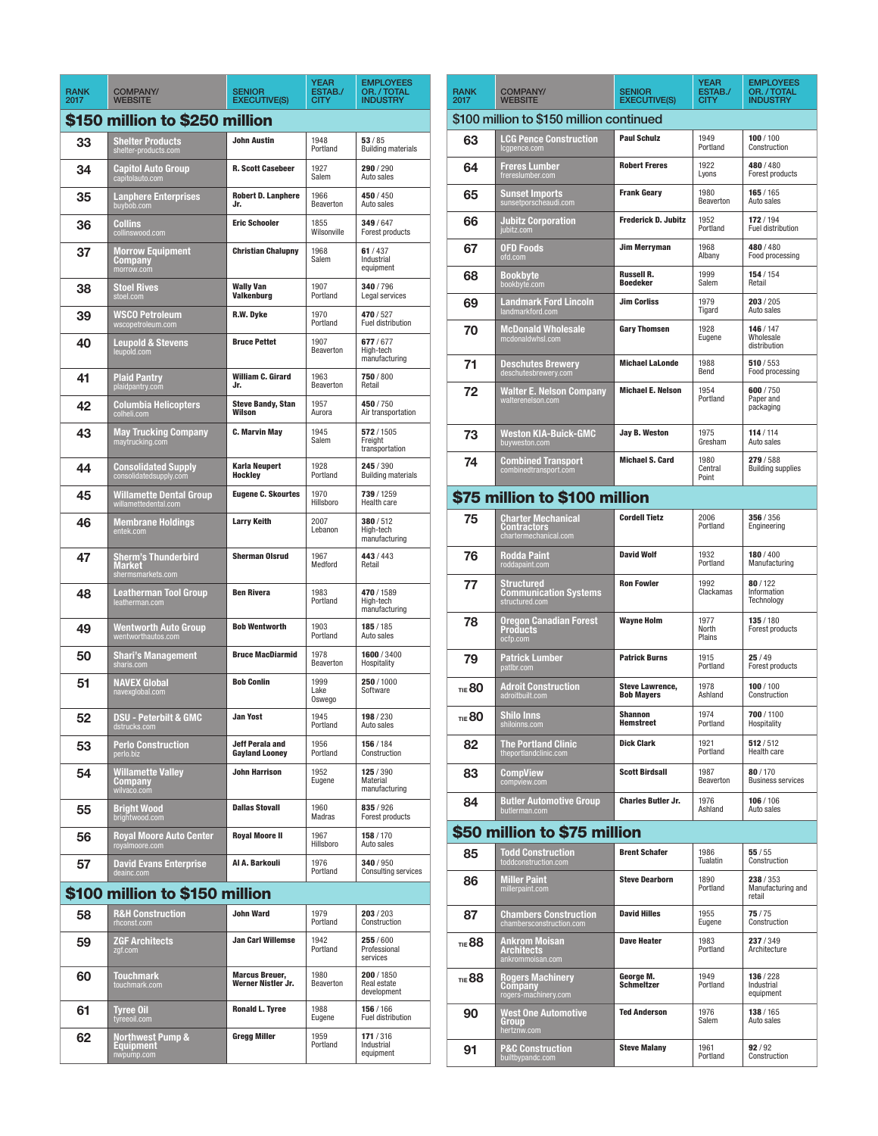| <b>RANK</b><br>2017            | <b>COMPANY/</b><br><b>WEBSITE</b>                                | <b>SENIOR</b><br><b>EXECUTIVE(S)</b>        | <b>YEAR</b><br>ESTAB./<br><b>CITY</b> | <b>EMPLOYEES</b><br>OR. / TOTAL<br><b>INDUSTRY</b> |  |  |
|--------------------------------|------------------------------------------------------------------|---------------------------------------------|---------------------------------------|----------------------------------------------------|--|--|
| \$150 million to \$250 million |                                                                  |                                             |                                       |                                                    |  |  |
| 33                             | <b>Shelter Products</b><br>shelter-products.com                  | <b>John Austin</b>                          | 1948<br>Portland                      | 53/85<br><b>Building materials</b>                 |  |  |
| 34                             | Capitol Auto Group<br>capitolauto.com                            | <b>R. Scott Casebeer</b>                    | 1927<br>Salem                         | 290/290<br>Auto sales                              |  |  |
| 35                             | <b>Lanphere Enterprises</b><br>buybob.com                        | <b>Robert D. Lanphere</b><br>.lr.           | 1966<br>Beaverton                     | 450 / 450<br>Auto sales                            |  |  |
| 36                             | Collins<br>collinswood.com                                       | <b>Eric Schooler</b>                        | 1855<br>Wilsonville                   | 349/647<br>Forest products                         |  |  |
| 37                             | <b>Morrow Equipment</b><br>Company<br>morrow.com                 | <b>Christian Chalupny</b>                   | 1968<br>Salem                         | 61/437<br>Industrial<br>equipment                  |  |  |
| 38                             | <b>Stoel Rives</b><br>stoel.com                                  | <b>Wally Van</b><br><b>Valkenburg</b>       | 1907<br>Portland                      | 340/796<br>Legal services                          |  |  |
| 39                             | <b>WSCO Petroleum</b><br>wscopetroleum.com                       | R.W. Dyke                                   | 1970<br>Portland                      | 470/527<br>Fuel distribution                       |  |  |
| 40                             | <b>Leupold &amp; Stevens</b><br>leupold.com                      | <b>Bruce Pettet</b>                         | 1907<br>Beaverton                     | 677/677<br>High-tech<br>manufacturing              |  |  |
| 41                             | <b>Plaid Pantry</b><br>plaidpantry.com                           | <b>William C. Girard</b><br>Jr.             | 1963<br>Beaverton                     | 750/800<br>Retail                                  |  |  |
| 42                             | Columbia Helicopters<br>colheli.com                              | <b>Steve Bandy, Stan</b><br>Wilson          | 1957<br>Aurora                        | 450/750<br>Air transportation                      |  |  |
| 43                             | <b>May Trucking Company</b><br>maytrucking.com                   | <b>C. Marvin May</b>                        | 1945<br>Salem                         | 572/1505<br>Freight<br>transportation              |  |  |
| 44                             | <b>Consolidated Supply</b><br>consolidatedsupply.com             | <b>Karla Neupert</b><br>Hockley             | 1928<br>Portland                      | 245 / 390<br><b>Building materials</b>             |  |  |
| 45                             | <b>Willamette Dental Group</b><br>willamettedental.com           | <b>Eugene C. Skourtes</b>                   | 1970<br>Hillsboro                     | 739 / 1259<br>Health care                          |  |  |
| 46                             | <b>Membrane Holdings</b><br>entek.com                            | <b>Larry Keith</b>                          | 2007<br>Lebanon                       | 380/512<br>High-tech<br>manufacturing              |  |  |
| 47                             | <b>Sherm's Thunderbird</b><br><b>Market</b><br>shermsmarkets.com | <b>Sherman Olsrud</b>                       | 1967<br>Medford                       | 443/443<br>Retail                                  |  |  |
| 48                             | Leatherman Tool Group<br>leatherman.com                          | <b>Ben Rivera</b>                           | 1983<br>Portland                      | 470 / 1589<br>High-tech<br>manufacturing           |  |  |
| 49                             | Wentworth Auto Group<br>wentworthautos.com                       | <b>Bob Wentworth</b>                        | 1903<br>Portland                      | 185/185<br>Auto sales                              |  |  |
| 50                             | <b>Shari's Management</b><br>sharis.com                          | <b>Bruce MacDiarmid</b>                     | 1978<br>Beaverton                     | 1600/3400<br>Hospitality                           |  |  |
| 51                             | <b>NAVEX Global</b><br>navexglobal.com                           | <b>Bob Conlin</b>                           | 1999<br>Lake<br>Oswego                | 250/1000<br>Software                               |  |  |
| 52                             | DSU - Peterbilt & GMC<br>dstrucks.com                            | Jan Yost                                    | 1945<br>Portland                      | 198 / 230<br>Auto sales                            |  |  |
| 53                             | <b>Perlo Construction</b><br>perlo.biz                           | Jeff Perala and<br><b>Gayland Looney</b>    | 1956<br>Portland                      | 156 / 184<br>Construction                          |  |  |
| 54                             | <b>Willamette Valley</b><br><b>Company</b><br>wilvaco.com        | <b>John Harrison</b>                        | 1952<br>Eugene                        | 125/390<br>Material<br>manufacturing               |  |  |
| 55                             | <b>Bright Wood</b><br>brightwood.com                             | <b>Dallas Stovall</b>                       | 1960<br>Madras                        | 835/926<br>Forest products                         |  |  |
| 56                             | <b>Royal Moore Auto Center</b><br>royalmoore.com                 | <b>Royal Moore II</b>                       | 1967<br>Hillsboro                     | 158 / 170<br>Auto sales                            |  |  |
| 57                             | David Evans Enterprise<br>deainc.com                             | Al A. Barkouli                              | 1976<br>Portland                      | 340/950<br><b>Consulting services</b>              |  |  |
| \$100 million to \$150 million |                                                                  |                                             |                                       |                                                    |  |  |
| 58                             | <b>R&amp;H Construction</b><br>rhconst.com                       | John Ward                                   | 1979<br>Portland                      | 203/203<br>Construction                            |  |  |
| 59                             | <b>ZGF Architects</b><br>zgf.com                                 | <b>Jan Carl Willemse</b>                    | 1942<br>Portland                      | 255/600<br>Professional<br>services                |  |  |
| 60                             | <b>Touchmark</b><br>touchmark.com                                | <b>Marcus Breuer,</b><br>Werner Nistler Jr. | 1980<br>Beaverton                     | 200 / 1850<br>Real estate<br>development           |  |  |
| 61                             | <b>Tyree Oil</b><br>tyreeoil.com                                 | <b>Ronald L. Tyree</b>                      | 1988<br>Eugene                        | 156 / 166<br>Fuel distribution                     |  |  |
| 62                             | <b>Northwest Pump &amp;</b><br><b>Equipment</b><br>nwpump.com    | <b>Gregg Miller</b>                         | 1959<br>Portland                      | 171 / 316<br>Industrial<br>equipment               |  |  |

| <b>RANK</b><br>2017                      | <b>COMPANY/</b><br><b>WEBSITE</b>                                 | <b>SENIOR</b><br><b>EXECUTIVE(S)</b>        | <b>YEAR</b><br>ESTAB./<br><b>CITY</b> | <b>EMPLOYEES</b><br>OR. / TOTAL<br><b>INDUSTRY</b> |  |  |
|------------------------------------------|-------------------------------------------------------------------|---------------------------------------------|---------------------------------------|----------------------------------------------------|--|--|
| \$100 million to \$150 million continued |                                                                   |                                             |                                       |                                                    |  |  |
| 63                                       | <b>LCG Pence Construction</b><br>Icgpence.com                     | <b>Paul Schulz</b>                          | 1949<br>Portland                      | 100/100<br>Construction                            |  |  |
| 64                                       | <b>Freres Lumber</b><br>frereslumber.com                          | <b>Robert Freres</b>                        | 1922<br>Lyons                         | 480/480<br>Forest products                         |  |  |
| 65                                       | <b>Sunset Imports</b><br>sunsetporscheaudi.com                    | <b>Frank Geary</b>                          | 1980<br>Beaverton                     | 165/165<br>Auto sales                              |  |  |
| 66                                       | <b>Jubitz Corporation</b><br>jubitz.com                           | <b>Frederick D. Jubitz</b>                  | 1952<br>Portland                      | 172/194<br>Fuel distribution                       |  |  |
| 67                                       | OFD Foods<br>ofd.com                                              | <b>Jim Merryman</b>                         | 1968<br>Albany                        | 480 / 480<br>Food processing                       |  |  |
| 68                                       | Bookbyte<br>bookbyte.com                                          | <b>Russell R.</b><br><b>Boedeker</b>        | 1999<br>Salem                         | 154 / 154<br>Retail                                |  |  |
| 69                                       | <b>Landmark Ford Lincoln</b><br>landmarkford.com                  | <b>Jim Corliss</b>                          | 1979<br>Tigard                        | 203/205<br>Auto sales                              |  |  |
| 70                                       | <b>McDonald Wholesale</b><br>mcdonaldwhsl.com                     | <b>Gary Thomsen</b>                         | 1928<br>Eugene                        | 146 / 147<br>Wholesale<br>distribution             |  |  |
| 71                                       | <b>Deschutes Brewery</b><br>deschutesbrewery.com                  | <b>Michael LaLonde</b>                      | 1988<br>Bend                          | 510/553<br>Food processing                         |  |  |
| 72                                       | <b>Walter E. Nelson Company</b><br>walterenelson.com              | <b>Michael E. Nelson</b>                    | 1954<br>Portland                      | 600/750<br>Paper and<br>packaging                  |  |  |
| 73                                       | <b>Weston KIA-Buick-GMC</b><br>buyweston.com                      | <b>Jay B. Weston</b>                        | 1975<br>Gresham                       | 114/114<br>Auto sales                              |  |  |
| 74                                       | <b>Combined Transport</b><br>combinedtransport.com                | <b>Michael S. Card</b>                      | 1980<br>Central<br>Point              | 279/588<br><b>Building supplies</b>                |  |  |
|                                          | \$75 million to \$100 million                                     |                                             |                                       |                                                    |  |  |
| 75                                       | <b>Charter Mechanical</b><br>Contractors<br>chartermechanical.com | <b>Cordell Tietz</b>                        | 2006<br>Portland                      | 356 / 356<br>Engineering                           |  |  |
| 76                                       | Rodda Paint<br>roddapaint.com                                     | <b>David Wolf</b>                           | 1932<br>Portland                      | 180/400<br>Manufacturing                           |  |  |
| 77                                       | Structured<br>Communication Systems<br>structured.com             | <b>Ron Fowler</b>                           | 1992<br>Clackamas                     | 80/122<br>Information<br>Technology                |  |  |
| 78                                       | Oregon Canadian Forest<br>Products<br>ocfp.com                    | <b>Wayne Holm</b>                           | 1977<br>North<br>Plains               | 135 / 180<br>Forest products                       |  |  |
| 79                                       | Patrick Lumber<br>patlbr.com                                      | <b>Patrick Burns</b>                        | 1915<br>Portland                      | 25/49<br>Forest products                           |  |  |
| TIE 80                                   | <b>Adroit Construction</b><br>adroitbuilt.com                     | <b>Steve Lawrence,</b><br><b>Bob Mayers</b> | 1978<br>Ashland                       | 100/100<br>Construction                            |  |  |
| <b>TIE 80</b>                            | <b>Shilo Inns</b><br>shiloinns.com                                | <b>Shannon</b><br>Hemstreet                 | 1974<br>Portland                      | 700 / 1100<br>Hospitality                          |  |  |
| 82                                       | <b>The Portland Clinic</b><br>theportlandclinic.com               | <b>Dick Clark</b>                           | 1921<br>Portland                      | 512/512<br>Health care                             |  |  |
| 83                                       | CompView<br>compview.com                                          | <b>Scott Birdsall</b>                       | 1987<br>Beaverton                     | 80/170<br><b>Business services</b>                 |  |  |
| 84                                       | Butler Automotive Group<br>butlerman.com                          | <b>Charles Butler Jr.</b>                   | 1976<br>Ashland                       | 106/106<br>Auto sales                              |  |  |
| \$50 million to \$75 million             |                                                                   |                                             |                                       |                                                    |  |  |
| 85                                       | <b>Todd Construction</b><br>toddconstruction.com                  | <b>Brent Schafer</b>                        | 1986<br>Tualatin                      | 55/55<br>Construction                              |  |  |
| 86                                       | <b>Miller Paint</b><br>millerpaint.com                            | <b>Steve Dearborn</b>                       | 1890<br>Portland                      | 238 / 353<br>Manufacturing and<br>retail           |  |  |
| 87                                       | <b>Chambers Construction</b><br>chambersconstruction.com          | <b>David Hilles</b>                         | 1955<br>Eugene                        | 75/75<br>Construction                              |  |  |
| <b>TIE 88</b>                            | Ankrom Moisan<br><b>Architects</b><br>ankrommoisan.com            | <b>Dave Heater</b>                          | 1983<br>Portland                      | 237/349<br>Architecture                            |  |  |
| TIE 88                                   | Rogers Machinery<br>Company<br>rogers-machinery.com               | George M.<br><b>Schmeltzer</b>              | 1949<br>Portland                      | 136/228<br>Industrial<br>equipment                 |  |  |
| 90                                       | <b>West One Automotive</b><br>Group<br>hertznw.com                | <b>Ted Anderson</b>                         | 1976<br>Salem                         | 138 / 165<br>Auto sales                            |  |  |
| 91                                       | <b>P&amp;C Construction</b><br>builtbypandc.com                   | <b>Steve Malany</b>                         | 1961<br>Portland                      | 92/92<br>Construction                              |  |  |